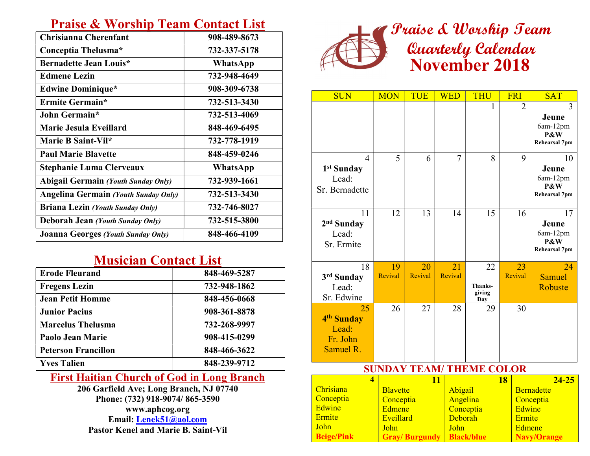## Praise & Worship Team Contact List

| Chrisianna Cherenfant                       | 908-489-8673    |
|---------------------------------------------|-----------------|
| Conceptia Thelusma*                         | 732-337-5178    |
| <b>Bernadette Jean Louis*</b>               | <b>WhatsApp</b> |
| <b>Edmene Lezin</b>                         | 732-948-4649    |
| <b>Edwine Dominique*</b>                    | 908-309-6738    |
| Ermite Germain*                             | 732-513-3430    |
| John Germain*                               | 732-513-4069    |
| Marie Jesula Eveillard                      | 848-469-6495    |
| Marie B Saint-Vil*                          | 732-778-1919    |
| <b>Paul Marie Blavette</b>                  | 848-459-0246    |
| <b>Stephanie Luma Clerveaux</b>             | WhatsApp        |
| <b>Abigail Germain (Youth Sunday Only)</b>  | 732-939-1661    |
| <b>Angelina Germain (Youth Sunday Only)</b> | 732-513-3430    |
| <b>Briana Lezin</b> (Youth Sunday Only)     | 732-746-8027    |
| <b>Deborah Jean (Youth Sunday Only)</b>     | 732-515-3800    |
| <b>Joanna Georges (Youth Sunday Only)</b>   | 848-466-4109    |

## Musician Contact List

| <b>Erode Fleurand</b>      | 848-469-5287 |
|----------------------------|--------------|
| <b>Fregens Lezin</b>       | 732-948-1862 |
| <b>Jean Petit Homme</b>    | 848-456-0668 |
| <b>Junior Pacius</b>       | 908-361-8878 |
| <b>Marcelus Thelusma</b>   | 732-268-9997 |
| Paolo Jean Marie           | 908-415-0299 |
| <b>Peterson Francillon</b> | 848-466-3622 |
| <b>Yves Talien</b>         | 848-239-9712 |

## First Haitian Church of God in Long Branch

206 Garfield Ave; Long Branch, NJ 07740 Phone: (732) 918-9074/ 865-3590 www.aphcog.org Email: Lenek51@aol.com Pastor Kenel and Marie B. Saint-Vil



| <b>SUN</b>                                                                                         | <b>MON</b>                                                         | TUE                  | <b>WED</b>                                   | <b>THU</b>                     | <b>FRI</b>     | <b>SAT</b>                                                                                      |  |  |
|----------------------------------------------------------------------------------------------------|--------------------------------------------------------------------|----------------------|----------------------------------------------|--------------------------------|----------------|-------------------------------------------------------------------------------------------------|--|--|
|                                                                                                    |                                                                    |                      |                                              | 1                              | $\overline{2}$ | 3<br>Jeune<br>6am-12pm<br><b>P&amp;W</b><br><b>Rehearsal 7pm</b>                                |  |  |
| 4<br>1 <sup>st</sup> Sunday<br>Lead:<br>Sr. Bernadette                                             | 5                                                                  | 6                    | 7                                            | 8                              | 9              | 10<br>Jeune<br>6am-12pm<br>P&W<br><b>Rehearsal 7pm</b>                                          |  |  |
| 11<br>2 <sup>nd</sup> Sunday<br>Lead:<br>Sr. Ermite                                                | 12                                                                 | 13                   | 14                                           | 15                             | 16             | 17<br>Jeune<br>6am-12pm<br>P&W<br><b>Rehearsal 7pm</b>                                          |  |  |
| 18<br>3rd Sunday<br>Lead:<br>Sr. Edwine                                                            | 19<br>Revival                                                      | 20<br>Revival        | 21<br>Revival                                | 22<br>Thanks-<br>giving<br>Day | 23<br>Revival  | 24<br>Samuel<br>Robuste                                                                         |  |  |
| 25<br>4 <sup>th</sup> Sunday<br>Lead:<br>Fr. John<br>Samuel R.                                     | 26                                                                 | 27                   | 28                                           | 29                             | 30             |                                                                                                 |  |  |
| <b>SUNDAY TEAM/ THEME COLOR</b>                                                                    |                                                                    |                      |                                              |                                |                |                                                                                                 |  |  |
| $\overline{\mathbf{4}}$<br>Chrisiana<br>Conceptia<br>Edwine<br>Ermite<br>John<br><b>Beige/Pink</b> | <b>Blavette</b><br>Conceptia<br><b>Edmene</b><br>Eveillard<br>John | <b>Gray/Burgundy</b> | 11<br>Abigail<br>Angelina<br>Deborah<br>John | Conceptia<br><b>Black/blue</b> | 18             | $24 - 25$<br><b>Bernadette</b><br>Conceptia<br>Edwine<br>Ermite<br>Edmene<br><b>Navy/Orange</b> |  |  |